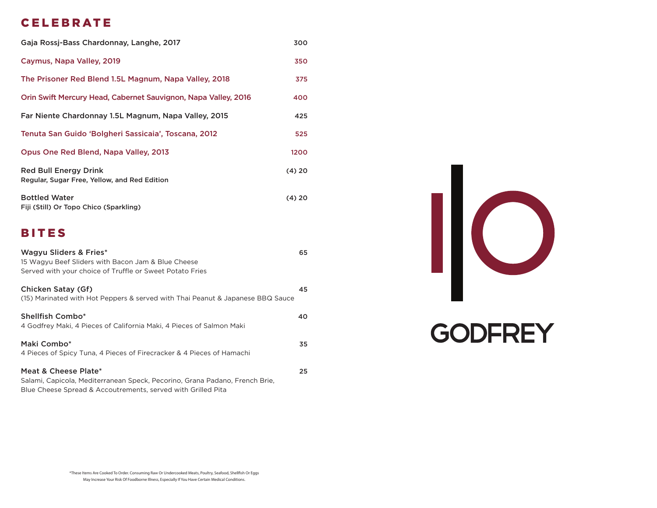## CELEBRATE

| Gaja Rossj-Bass Chardonnay, Langhe, 2017                                     | 300    |
|------------------------------------------------------------------------------|--------|
| Caymus, Napa Valley, 2019                                                    | 350    |
| The Prisoner Red Blend 1.5L Magnum, Napa Valley, 2018                        | 375    |
| Orin Swift Mercury Head, Cabernet Sauvignon, Napa Valley, 2016               | 400    |
| Far Niente Chardonnay 1.5L Magnum, Napa Valley, 2015                         | 425    |
| Tenuta San Guido 'Bolgheri Sassicaia', Toscana, 2012                         | 525    |
| Opus One Red Blend, Napa Valley, 2013                                        | 1200   |
| <b>Red Bull Energy Drink</b><br>Regular, Sugar Free, Yellow, and Red Edition | (4) 20 |
| <b>Bottled Water</b><br>Fiji (Still) Or Topo Chico (Sparkling)               | (4) 20 |

## BITES

| Wagyu Sliders & Fries*<br>15 Wagyu Beef Sliders with Bacon Jam & Blue Cheese<br>Served with your choice of Truffle or Sweet Potato Fries                            | 65 |
|---------------------------------------------------------------------------------------------------------------------------------------------------------------------|----|
| Chicken Satay (Gf)<br>(15) Marinated with Hot Peppers & served with Thai Peanut & Japanese BBQ Sauce                                                                | 45 |
| <b>Shellfish Combo*</b><br>4 Godfrey Maki, 4 Pieces of California Maki, 4 Pieces of Salmon Maki                                                                     | 40 |
| Maki Combo*<br>4 Pieces of Spicy Tuna, 4 Pieces of Firecracker & 4 Pieces of Hamachi                                                                                | 35 |
| Meat & Cheese Plate*<br>Salami, Capicola, Mediterranean Speck, Pecorino, Grana Padano, French Brie,<br>Blue Cheese Spread & Accoutrements, served with Grilled Pita | 25 |